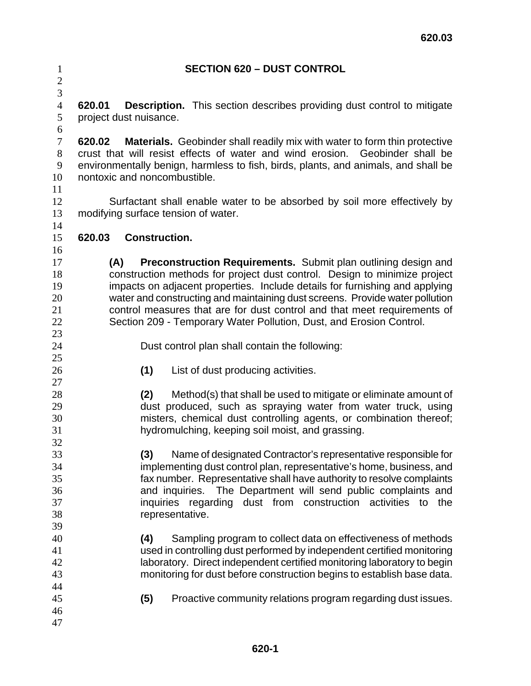## **SECTION 620 – DUST CONTROL**

 

**620.01 Description.** This section describes providing dust control to mitigate project dust nuisance.

**620.02 Materials.** Geobinder shall readily mix with water to form thin protective crust that will resist effects of water and wind erosion. Geobinder shall be environmentally benign, harmless to fish, birds, plants, and animals, and shall be nontoxic and noncombustible.

Surfactant shall enable water to be absorbed by soil more effectively by modifying surface tension of water.

- **620.03 Construction.**
- 

**(A) Preconstruction Requirements.** Submit plan outlining design and construction methods for project dust control. Design to minimize project impacts on adjacent properties. Include details for furnishing and applying water and constructing and maintaining dust screens. Provide water pollution control measures that are for dust control and that meet requirements of Section 209 - Temporary Water Pollution, Dust, and Erosion Control.

- Dust control plan shall contain the following:
- 

**(1)** List of dust producing activities.

**(2)** Method(s) that shall be used to mitigate or eliminate amount of dust produced, such as spraying water from water truck, using misters, chemical dust controlling agents, or combination thereof; hydromulching, keeping soil moist, and grassing. 

**(3)** Name of designated Contractor's representative responsible for implementing dust control plan, representative's home, business, and fax number. Representative shall have authority to resolve complaints and inquiries. The Department will send public complaints and inquiries regarding dust from construction activities to the representative.

- **(4)** Sampling program to collect data on effectiveness of methods used in controlling dust performed by independent certified monitoring laboratory. Direct independent certified monitoring laboratory to begin monitoring for dust before construction begins to establish base data.
- **(5)** Proactive community relations program regarding dust issues.
-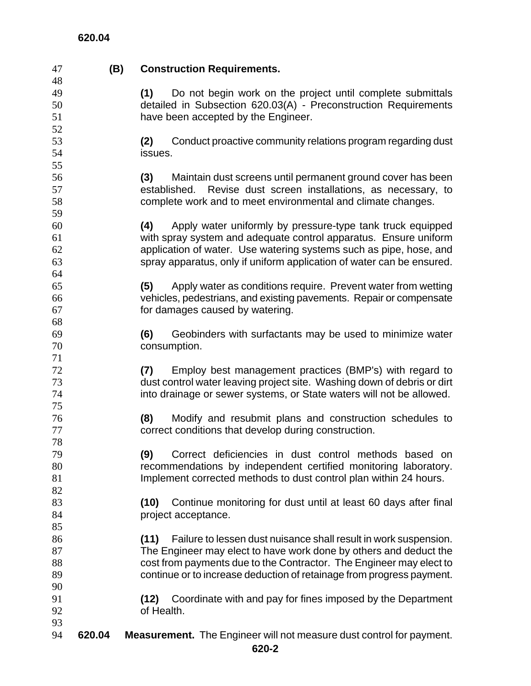## **620.04**

| 47       | (B)    | <b>Construction Requirements.</b>                                                                                                           |
|----------|--------|---------------------------------------------------------------------------------------------------------------------------------------------|
| 48       |        |                                                                                                                                             |
| 49       |        | Do not begin work on the project until complete submittals<br>(1)                                                                           |
| 50       |        | detailed in Subsection 620.03(A) - Preconstruction Requirements                                                                             |
| 51       |        | have been accepted by the Engineer.                                                                                                         |
| 52       |        |                                                                                                                                             |
| 53       |        | Conduct proactive community relations program regarding dust<br>(2)                                                                         |
| 54       |        | issues.                                                                                                                                     |
| 55       |        |                                                                                                                                             |
| 56       |        | Maintain dust screens until permanent ground cover has been<br>(3)                                                                          |
| 57       |        | Revise dust screen installations, as necessary, to<br>established.                                                                          |
| 58       |        | complete work and to meet environmental and climate changes.                                                                                |
| 59       |        |                                                                                                                                             |
| 60       |        | Apply water uniformly by pressure-type tank truck equipped<br>(4)                                                                           |
| 61       |        | with spray system and adequate control apparatus. Ensure uniform                                                                            |
| 62       |        | application of water. Use watering systems such as pipe, hose, and<br>spray apparatus, only if uniform application of water can be ensured. |
| 63<br>64 |        |                                                                                                                                             |
| 65       |        |                                                                                                                                             |
|          |        | Apply water as conditions require. Prevent water from wetting<br>(5)<br>vehicles, pedestrians, and existing pavements. Repair or compensate |
| 66<br>67 |        | for damages caused by watering.                                                                                                             |
| 68       |        |                                                                                                                                             |
| 69       |        | (6)<br>Geobinders with surfactants may be used to minimize water                                                                            |
| 70       |        | consumption.                                                                                                                                |
| 71       |        |                                                                                                                                             |
| 72       |        | Employ best management practices (BMP's) with regard to<br>(7)                                                                              |
| 73       |        | dust control water leaving project site. Washing down of debris or dirt                                                                     |
| 74       |        | into drainage or sewer systems, or State waters will not be allowed.                                                                        |
| 75       |        |                                                                                                                                             |
| 76       |        | Modify and resubmit plans and construction schedules to<br>(8)                                                                              |
| 77       |        | correct conditions that develop during construction.                                                                                        |
| 78       |        |                                                                                                                                             |
| 79       |        | Correct deficiencies in dust control methods based on<br>(9)                                                                                |
| 80       |        | recommendations by independent certified monitoring laboratory.                                                                             |
| 81       |        | Implement corrected methods to dust control plan within 24 hours.                                                                           |
| 82       |        |                                                                                                                                             |
| 83       |        | (10) Continue monitoring for dust until at least 60 days after final                                                                        |
| 84       |        | project acceptance.                                                                                                                         |
| 85       |        |                                                                                                                                             |
| 86       |        | Failure to lessen dust nuisance shall result in work suspension.<br>(11)                                                                    |
| 87       |        | The Engineer may elect to have work done by others and deduct the                                                                           |
| 88       |        | cost from payments due to the Contractor. The Engineer may elect to                                                                         |
| 89       |        | continue or to increase deduction of retainage from progress payment.                                                                       |
| 90       |        |                                                                                                                                             |
| 91       |        | Coordinate with and pay for fines imposed by the Department<br>(12)                                                                         |
| 92       |        | of Health.                                                                                                                                  |
| 93       |        |                                                                                                                                             |
| 94       | 620.04 | <b>Measurement.</b> The Engineer will not measure dust control for payment.                                                                 |